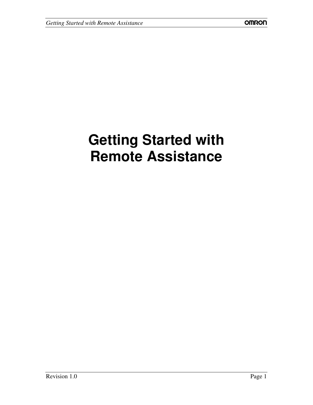# **Getting Started with Remote Assistance**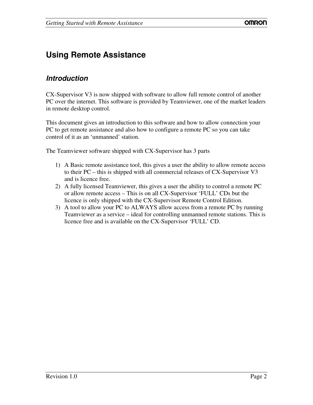## **Using Remote Assistance**

#### *Introduction*

CX-Supervisor V3 is now shipped with software to allow full remote control of another PC over the internet. This software is provided by Teamviewer, one of the market leaders in remote desktop control.

This document gives an introduction to this software and how to allow connection your PC to get remote assistance and also how to configure a remote PC so you can take control of it as an 'unmanned' station.

The Teamviewer software shipped with CX-Supervisor has 3 parts

- 1) A Basic remote assistance tool, this gives a user the ability to allow remote access to their PC – this is shipped with all commercial releases of CX-Supervisor V3 and is licence free.
- 2) A fully licensed Teamviewer, this gives a user the ability to control a remote PC or allow remote access – This is on all CX-Supervisor 'FULL' CDs but the licence is only shipped with the CX-Supervisor Remote Control Edition.
- 3) A tool to allow your PC to ALWAYS allow access from a remote PC by running Teamviewer as a service – ideal for controlling unmanned remote stations. This is licence free and is available on the CX-Supervisor 'FULL' CD.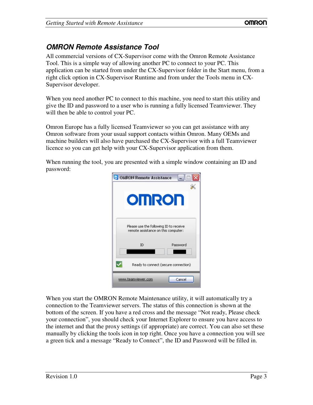## *OMRON Remote Assistance Tool*

All commercial versions of CX-Supervisor come with the Omron Remote Assistance Tool. This is a simple way of allowing another PC to connect to your PC. This application can be started from under the CX-Supervisor folder in the Start menu, from a right click option in CX-Supervisor Runtime and from under the Tools menu in CX-Supervisor developer.

When you need another PC to connect to this machine, you need to start this utility and give the ID and password to a user who is running a fully licensed Teamviewer. They will then be able to control your PC.

Omron Europe has a fully licensed Teamviewer so you can get assistance with any Omron software from your usual support contacts within Omron. Many OEMs and machine builders will also have purchased the CX-Supervisor with a full Teamviewer licence so you can get help with your CX-Supervisor application from them.

When running the tool, you are presented with a simple window containing an ID and password:



When you start the OMRON Remote Maintenance utility, it will automatically try a connection to the Teamviewer servers. The status of this connection is shown at the bottom of the screen. If you have a red cross and the message "Not ready, Please check your connection", you should check your Internet Explorer to ensure you have access to the internet and that the proxy settings (if appropriate) are correct. You can also set these manually by clicking the tools icon in top right. Once you have a connection you will see a green tick and a message "Ready to Connect", the ID and Password will be filled in.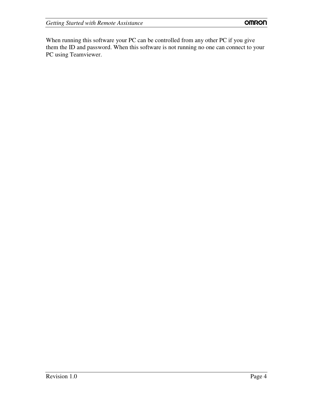When running this software your PC can be controlled from any other PC if you give them the ID and password. When this software is not running no one can connect to your PC using Teamviewer.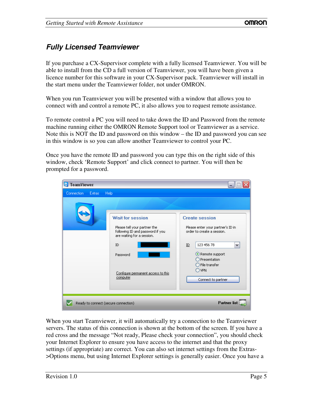## *Fully Licensed Teamviewer*

If you purchase a CX-Supervisor complete with a fully licensed Teamviewer. You will be able to install from the CD a full version of Teamviewer, you will have been given a licence number for this software in your CX-Supervisor pack. Teamviewer will install in the start menu under the Teamviewer folder, not under OMRON.

When you run Teamviewer you will be presented with a window that allows you to connect with and control a remote PC, it also allows you to request remote assistance.

To remote control a PC you will need to take down the ID and Password from the remote machine running either the OMRON Remote Support tool or Teamviewer as a service. Note this is NOT the ID and password on this window – the ID and password you can see in this window is so you can allow another Teamviewer to control your PC.

Once you have the remote ID and password you can type this on the right side of this window, check 'Remote Support' and click connect to partner. You will then be prompted for a password.

| <b>TeamViewer</b><br>Extras<br><b>Connection</b> | <b>Help</b>                                                                                                                                                                                   | $\blacksquare$                                                                                                                                                                                                                           |
|--------------------------------------------------|-----------------------------------------------------------------------------------------------------------------------------------------------------------------------------------------------|------------------------------------------------------------------------------------------------------------------------------------------------------------------------------------------------------------------------------------------|
|                                                  | <b>Wait for session</b><br>Please tell your partner the<br>following ID and password if you<br>are waiting for a session.<br>ID<br>Password<br>Configure permanent access to this<br>computer | <b>Create session</b><br>Please enter your partner's ID in<br>order to create a session.<br>123 456 78<br>$\underline{\text{ID}}$<br>$\checkmark$<br>Remote support<br>Presentation<br>File transfer<br><b>VPN</b><br>Connect to partner |
|                                                  | Ready to connect (secure connection)                                                                                                                                                          | <b>Partner list</b>                                                                                                                                                                                                                      |

When you start Teamviewer, it will automatically try a connection to the Teamviewer servers. The status of this connection is shown at the bottom of the screen. If you have a red cross and the message "Not ready, Please check your connection", you should check your Internet Explorer to ensure you have access to the internet and that the proxy settings (if appropriate) are correct. You can also set internet settings from the Extras- >Options menu, but using Internet Explorer settings is generally easier. Once you have a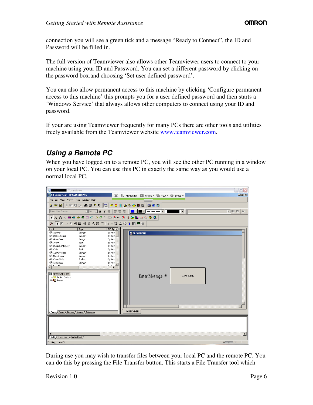connection you will see a green tick and a message "Ready to Connect", the ID and Password will be filled in.

The full version of Teamviewer also allows other Teamviewer users to connect to your machine using your ID and Password. You can set a different password by clicking on the password box.and choosing 'Set user defined password'.

You can also allow permanent access to this machine by clicking 'Configure permanent access to this machine' this prompts you for a user defined password and then starts a 'Windows Service' that always allows other computers to connect using your ID and password.

If your are using Teamviewer frequently for many PCs there are other tools and utilities freely available from the Teamviewer website www.teamviewer.com.

#### *Using a Remote PC*

When you have logged on to a remote PC, you will see the other PC running in a window on your local PC. You can use this PC in exactly the same way as you would use a normal local PC.

| $\blacksquare$<br>- TeamViewer                                                                 | $ \blacksquare$ $\times$                                                                    |  |  |  |  |  |
|------------------------------------------------------------------------------------------------|---------------------------------------------------------------------------------------------|--|--|--|--|--|
| CX-Supervisor - SMSSENDER.PAG<br>$\boldsymbol{\times}$                                         | $\Box$ e   x<br>$\mathbb{B}_{\mathbf{m}}$ File transfer<br>Actions + Fig View + 12 Extras + |  |  |  |  |  |
| File Edit View Project Tools Window Help                                                       | $\lambda$                                                                                   |  |  |  |  |  |
| <b>X la 6 2   A 8 ? R   B   @ 5     @ 4 3 # 6   @ 8 0</b><br>省房日                               |                                                                                             |  |  |  |  |  |
| Times New Roman                                                                                | $\blacksquare$<br>同老者<br>P<br>$\mathbf{v}$<br>$\left  \cdot \right $                        |  |  |  |  |  |
| <b>\A R \ M © ● ▲ □ ○ ○ 久 ┐ □ ≸ 罒 ① }} a i li Le tz 3 Q</b>                                    |                                                                                             |  |  |  |  |  |
| ▼▼□●邮图到当A图面口中图公数是图测器<br>父                                                                      |                                                                                             |  |  |  |  |  |
| Point<br>I/O Typ $\triangle$<br>Type                                                           |                                                                                             |  |  |  |  |  |
| \$12Hour<br>Integer<br>System<br><b>SActiveAlarms</b><br>System<br>Integer                     | <b>EN SMSSENDER</b>                                                                         |  |  |  |  |  |
| \$AlarmCount<br>Integer<br>System                                                              |                                                                                             |  |  |  |  |  |
| <b>SAMPM</b><br>Text<br>System                                                                 |                                                                                             |  |  |  |  |  |
| \$AvailableMemory<br>System<br>Integer                                                         |                                                                                             |  |  |  |  |  |
| ⊕ \$Date<br>Text<br>System                                                                     |                                                                                             |  |  |  |  |  |
| <b>SDayOfMonth</b><br>System<br>Integer                                                        |                                                                                             |  |  |  |  |  |
| \$DayOfYear<br>System<br>Integer<br><b>DemoMode</b><br>Boolean<br>System                       |                                                                                             |  |  |  |  |  |
| SDiskSpace<br>Integer<br>System                                                                |                                                                                             |  |  |  |  |  |
| <b>PARALAL</b><br>$1 - 1 - 1$<br>e cara                                                        |                                                                                             |  |  |  |  |  |
| $\blacktriangleright$                                                                          |                                                                                             |  |  |  |  |  |
| SMSSENDER.SCS                                                                                  |                                                                                             |  |  |  |  |  |
| Project Scripts                                                                                | Enter Message: #<br>Send SMS                                                                |  |  |  |  |  |
| E-10 Pages                                                                                     |                                                                                             |  |  |  |  |  |
|                                                                                                |                                                                                             |  |  |  |  |  |
|                                                                                                |                                                                                             |  |  |  |  |  |
|                                                                                                |                                                                                             |  |  |  |  |  |
|                                                                                                |                                                                                             |  |  |  |  |  |
|                                                                                                |                                                                                             |  |  |  |  |  |
|                                                                                                |                                                                                             |  |  |  |  |  |
|                                                                                                | $\overline{\bullet}$<br>$\blacktriangleright$                                               |  |  |  |  |  |
| Pages $\bigwedge$ <i>Plarms</i> $\bigwedge$ Recipes $\bigwedge$ Logging $\bigwedge$ Database / | SMSSENDER                                                                                   |  |  |  |  |  |
|                                                                                                |                                                                                             |  |  |  |  |  |
|                                                                                                |                                                                                             |  |  |  |  |  |
|                                                                                                |                                                                                             |  |  |  |  |  |
|                                                                                                |                                                                                             |  |  |  |  |  |
| $\left  \cdot \right $                                                                         |                                                                                             |  |  |  |  |  |
| Build $\bigwedge$ Find in files 1 $\bigwedge$ Find in files 2 $\bigwedge$                      |                                                                                             |  |  |  |  |  |
|                                                                                                |                                                                                             |  |  |  |  |  |
| For Help, press F1                                                                             | $41 \times$                                                                                 |  |  |  |  |  |

During use you may wish to transfer files between your local PC and the remote PC. You can do this by pressing the File Transfer button. This starts a File Transfer tool which